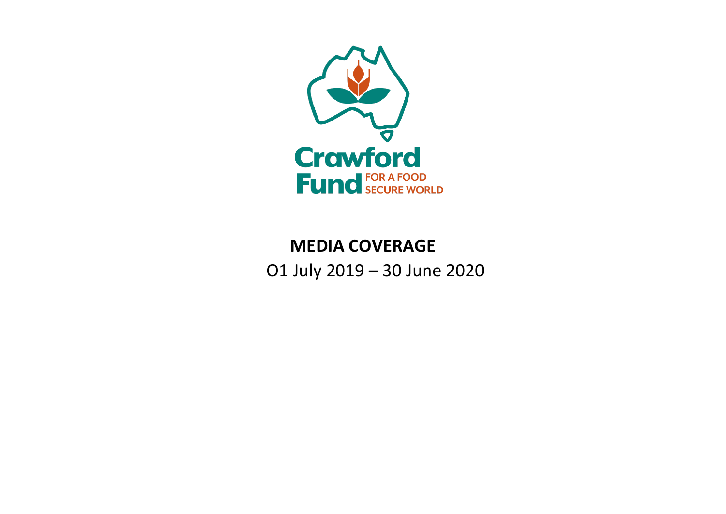

## **MEDIA COVERAGE**  O1 July 2019 – 30 June 2020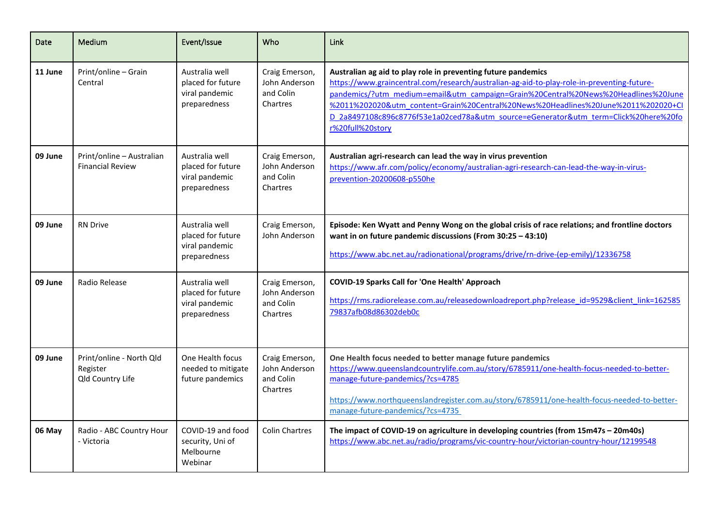| Date    | Medium                                                   | Event/Issue                                                           | Who                                                      | Link                                                                                                                                                                                                                                                                                                                                                                                                                                              |
|---------|----------------------------------------------------------|-----------------------------------------------------------------------|----------------------------------------------------------|---------------------------------------------------------------------------------------------------------------------------------------------------------------------------------------------------------------------------------------------------------------------------------------------------------------------------------------------------------------------------------------------------------------------------------------------------|
| 11 June | Print/online - Grain<br>Central                          | Australia well<br>placed for future<br>viral pandemic<br>preparedness | Craig Emerson,<br>John Anderson<br>and Colin<br>Chartres | Australian ag aid to play role in preventing future pandemics<br>https://www.graincentral.com/research/australian-ag-aid-to-play-role-in-preventing-future-<br>pandemics/?utm_medium=email&utm_campaign=Grain%20Central%20News%20Headlines%20June<br>%2011%202020&utm_content=Grain%20Central%20News%20Headlines%20June%2011%202020+Cl<br>D 2a8497108c896c8776f53e1a02ced78a&utm source=eGenerator&utm term=Click%20here%20fo<br>r%20full%20story |
| 09 June | Print/online - Australian<br><b>Financial Review</b>     | Australia well<br>placed for future<br>viral pandemic<br>preparedness | Craig Emerson,<br>John Anderson<br>and Colin<br>Chartres | Australian agri-research can lead the way in virus prevention<br>https://www.afr.com/policy/economy/australian-agri-research-can-lead-the-way-in-virus-<br>prevention-20200608-p550he                                                                                                                                                                                                                                                             |
| 09 June | <b>RN Drive</b>                                          | Australia well<br>placed for future<br>viral pandemic<br>preparedness | Craig Emerson,<br>John Anderson                          | Episode: Ken Wyatt and Penny Wong on the global crisis of race relations; and frontline doctors<br>want in on future pandemic discussions (From 30:25 - 43:10)<br>https://www.abc.net.au/radionational/programs/drive/rn-drive-(ep-emily)/12336758                                                                                                                                                                                                |
| 09 June | Radio Release                                            | Australia well<br>placed for future<br>viral pandemic<br>preparedness | Craig Emerson,<br>John Anderson<br>and Colin<br>Chartres | <b>COVID-19 Sparks Call for 'One Health' Approach</b><br>https://rms.radiorelease.com.au/releasedownloadreport.php?release_id=9529&client_link=162585<br>79837afb08d86302deb0c                                                                                                                                                                                                                                                                    |
| 09 June | Print/online - North Qld<br>Register<br>Qld Country Life | One Health focus<br>needed to mitigate<br>future pandemics            | Craig Emerson,<br>John Anderson<br>and Colin<br>Chartres | One Health focus needed to better manage future pandemics<br>https://www.queenslandcountrylife.com.au/story/6785911/one-health-focus-needed-to-better-<br>manage-future-pandemics/?cs=4785<br>https://www.northqueenslandregister.com.au/story/6785911/one-health-focus-needed-to-better-<br>manage-future-pandemics/?cs=4735                                                                                                                     |
| 06 May  | Radio - ABC Country Hour<br>- Victoria                   | COVID-19 and food<br>security, Uni of<br>Melbourne<br>Webinar         | <b>Colin Chartres</b>                                    | The impact of COVID-19 on agriculture in developing countries (from 15m47s - 20m40s)<br>https://www.abc.net.au/radio/programs/vic-country-hour/victorian-country-hour/12199548                                                                                                                                                                                                                                                                    |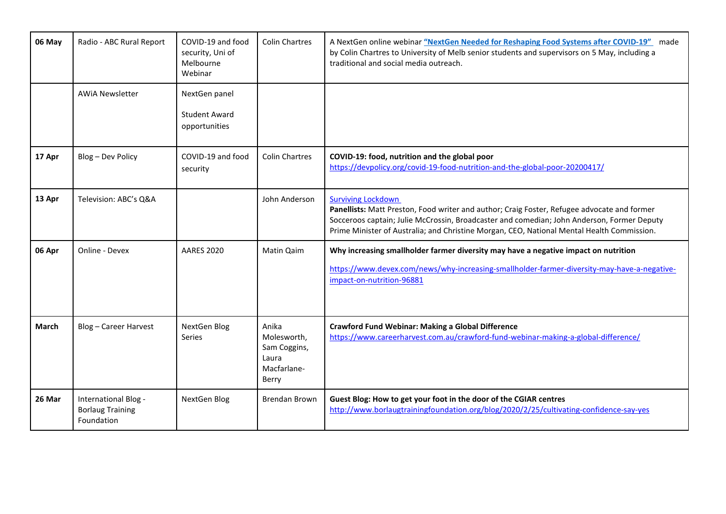| 06 May | Radio - ABC Rural Report                                      | COVID-19 and food<br>security, Uni of<br>Melbourne<br>Webinar | <b>Colin Chartres</b>                                                 | A NextGen online webinar "NextGen Needed for Reshaping Food Systems after COVID-19" made<br>by Colin Chartres to University of Melb senior students and supervisors on 5 May, including a<br>traditional and social media outreach.                                                                                  |
|--------|---------------------------------------------------------------|---------------------------------------------------------------|-----------------------------------------------------------------------|----------------------------------------------------------------------------------------------------------------------------------------------------------------------------------------------------------------------------------------------------------------------------------------------------------------------|
|        | <b>AWIA Newsletter</b>                                        | NextGen panel<br><b>Student Award</b><br>opportunities        |                                                                       |                                                                                                                                                                                                                                                                                                                      |
| 17 Apr | Blog - Dev Policy                                             | COVID-19 and food<br>security                                 | <b>Colin Chartres</b>                                                 | COVID-19: food, nutrition and the global poor<br>https://devpolicy.org/covid-19-food-nutrition-and-the-global-poor-20200417/                                                                                                                                                                                         |
| 13 Apr | Television: ABC's Q&A                                         |                                                               | John Anderson                                                         | <b>Surviving Lockdown</b><br>Panellists: Matt Preston, Food writer and author; Craig Foster, Refugee advocate and former<br>Socceroos captain; Julie McCrossin, Broadcaster and comedian; John Anderson, Former Deputy<br>Prime Minister of Australia; and Christine Morgan, CEO, National Mental Health Commission. |
| 06 Apr | Online - Devex                                                | <b>AARES 2020</b>                                             | Matin Qaim                                                            | Why increasing smallholder farmer diversity may have a negative impact on nutrition<br>https://www.devex.com/news/why-increasing-smallholder-farmer-diversity-may-have-a-negative-<br>impact-on-nutrition-96881                                                                                                      |
| March  | Blog - Career Harvest                                         | NextGen Blog<br>Series                                        | Anika<br>Molesworth,<br>Sam Coggins,<br>Laura<br>Macfarlane-<br>Berry | <b>Crawford Fund Webinar: Making a Global Difference</b><br>https://www.careerharvest.com.au/crawford-fund-webinar-making-a-global-difference/                                                                                                                                                                       |
| 26 Mar | International Blog -<br><b>Borlaug Training</b><br>Foundation | NextGen Blog                                                  | Brendan Brown                                                         | Guest Blog: How to get your foot in the door of the CGIAR centres<br>http://www.borlaugtrainingfoundation.org/blog/2020/2/25/cultivating-confidence-say-yes                                                                                                                                                          |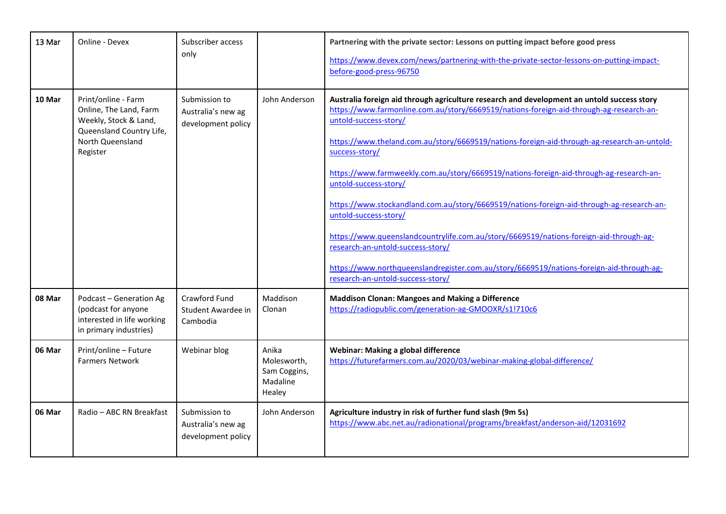| 13 Mar | Online - Devex                                                                                                                     | Subscriber access<br>only                                 |                                                            | Partnering with the private sector: Lessons on putting impact before good press<br>https://www.devex.com/news/partnering-with-the-private-sector-lessons-on-putting-impact-<br>before-good-press-96750                                                                                                                                                                                                                                                                                                                                                                                                                                                                                                                                                                                                                                    |
|--------|------------------------------------------------------------------------------------------------------------------------------------|-----------------------------------------------------------|------------------------------------------------------------|-------------------------------------------------------------------------------------------------------------------------------------------------------------------------------------------------------------------------------------------------------------------------------------------------------------------------------------------------------------------------------------------------------------------------------------------------------------------------------------------------------------------------------------------------------------------------------------------------------------------------------------------------------------------------------------------------------------------------------------------------------------------------------------------------------------------------------------------|
| 10 Mar | Print/online - Farm<br>Online, The Land, Farm<br>Weekly, Stock & Land,<br>Queensland Country Life,<br>North Queensland<br>Register | Submission to<br>Australia's new ag<br>development policy | John Anderson                                              | Australia foreign aid through agriculture research and development an untold success story<br>https://www.farmonline.com.au/story/6669519/nations-foreign-aid-through-ag-research-an-<br>untold-success-story/<br>https://www.theland.com.au/story/6669519/nations-foreign-aid-through-ag-research-an-untold-<br>success-story/<br>https://www.farmweekly.com.au/story/6669519/nations-foreign-aid-through-ag-research-an-<br>untold-success-story/<br>https://www.stockandland.com.au/story/6669519/nations-foreign-aid-through-ag-research-an-<br>untold-success-story/<br>https://www.queenslandcountrylife.com.au/story/6669519/nations-foreign-aid-through-ag-<br>research-an-untold-success-story/<br>https://www.northqueenslandregister.com.au/story/6669519/nations-foreign-aid-through-ag-<br>research-an-untold-success-story/ |
| 08 Mar | Podcast - Generation Ag<br>(podcast for anyone<br>interested in life working<br>in primary industries)                             | Crawford Fund<br>Student Awardee in<br>Cambodia           | Maddison<br>Clonan                                         | <b>Maddison Clonan: Mangoes and Making a Difference</b><br>https://radiopublic.com/generation-ag-GMOOXR/s1!710c6                                                                                                                                                                                                                                                                                                                                                                                                                                                                                                                                                                                                                                                                                                                          |
| 06 Mar | Print/online - Future<br><b>Farmers Network</b>                                                                                    | Webinar blog                                              | Anika<br>Molesworth,<br>Sam Coggins,<br>Madaline<br>Healey | <b>Webinar: Making a global difference</b><br>https://futurefarmers.com.au/2020/03/webinar-making-global-difference/                                                                                                                                                                                                                                                                                                                                                                                                                                                                                                                                                                                                                                                                                                                      |
| 06 Mar | Radio - ABC RN Breakfast                                                                                                           | Submission to<br>Australia's new ag<br>development policy | John Anderson                                              | Agriculture industry in risk of further fund slash (9m 5s)<br>https://www.abc.net.au/radionational/programs/breakfast/anderson-aid/12031692                                                                                                                                                                                                                                                                                                                                                                                                                                                                                                                                                                                                                                                                                               |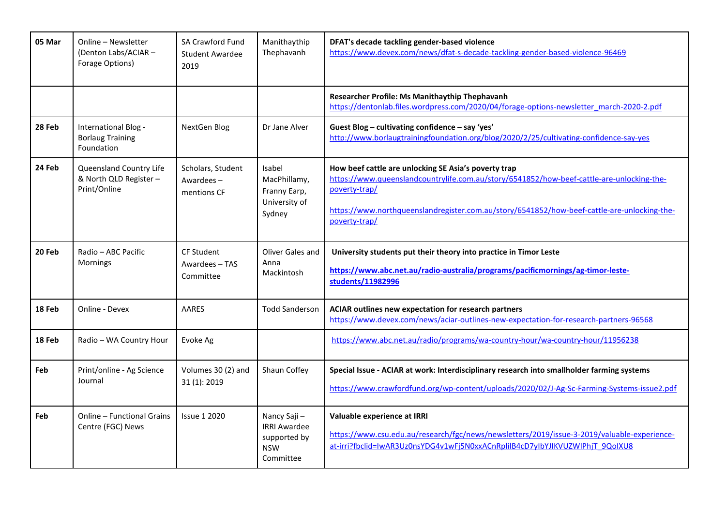| 05 Mar | Online - Newsletter<br>(Denton Labs/ACIAR -<br>Forage Options)    | SA Crawford Fund<br><b>Student Awardee</b><br>2019 | Manithaythip<br>Thephavanh                                                    | DFAT's decade tackling gender-based violence<br>https://www.devex.com/news/dfat-s-decade-tackling-gender-based-violence-96469                                                                                                                                                      |
|--------|-------------------------------------------------------------------|----------------------------------------------------|-------------------------------------------------------------------------------|------------------------------------------------------------------------------------------------------------------------------------------------------------------------------------------------------------------------------------------------------------------------------------|
|        |                                                                   |                                                    |                                                                               | Researcher Profile: Ms Manithaythip Thephavanh<br>https://dentonlab.files.wordpress.com/2020/04/forage-options-newsletter march-2020-2.pdf                                                                                                                                         |
| 28 Feb | International Blog -<br><b>Borlaug Training</b><br>Foundation     | NextGen Blog                                       | Dr Jane Alver                                                                 | Guest Blog - cultivating confidence - say 'yes'<br>http://www.borlaugtrainingfoundation.org/blog/2020/2/25/cultivating-confidence-say-yes                                                                                                                                          |
| 24 Feb | Queensland Country Life<br>& North QLD Register -<br>Print/Online | Scholars, Student<br>Awardees-<br>mentions CF      | Isabel<br>MacPhillamy,<br>Franny Earp,<br>University of<br>Sydney             | How beef cattle are unlocking SE Asia's poverty trap<br>https://www.queenslandcountrylife.com.au/story/6541852/how-beef-cattle-are-unlocking-the-<br>poverty-trap/<br>https://www.northqueenslandregister.com.au/story/6541852/how-beef-cattle-are-unlocking-the-<br>poverty-trap/ |
| 20 Feb | Radio - ABC Pacific<br>Mornings                                   | <b>CF Student</b><br>Awardees - TAS<br>Committee   | Oliver Gales and<br>Anna<br>Mackintosh                                        | University students put their theory into practice in Timor Leste<br>https://www.abc.net.au/radio-australia/programs/pacificmornings/ag-timor-leste-<br>students/11982996                                                                                                          |
| 18 Feb | Online - Devex                                                    | AARES                                              | <b>Todd Sanderson</b>                                                         | ACIAR outlines new expectation for research partners<br>https://www.devex.com/news/aciar-outlines-new-expectation-for-research-partners-96568                                                                                                                                      |
| 18 Feb | Radio - WA Country Hour                                           | Evoke Ag                                           |                                                                               | https://www.abc.net.au/radio/programs/wa-country-hour/wa-country-hour/11956238                                                                                                                                                                                                     |
| Feb    | Print/online - Ag Science<br>Journal                              | Volumes 30 (2) and<br>31 (1): 2019                 | Shaun Coffey                                                                  | Special Issue - ACIAR at work: Interdisciplinary research into smallholder farming systems<br>https://www.crawfordfund.org/wp-content/uploads/2020/02/J-Ag-Sc-Farming-Systems-issue2.pdf                                                                                           |
| Feb    | Online - Functional Grains<br>Centre (FGC) News                   | <b>Issue 1 2020</b>                                | Nancy Saji-<br><b>IRRI Awardee</b><br>supported by<br><b>NSW</b><br>Committee | Valuable experience at IRRI<br>https://www.csu.edu.au/research/fgc/news/newsletters/2019/issue-3-2019/valuable-experience-<br>at-irri?fbclid=IwAR3Uz0nsYDG4v1wFj5N0xxACnRpliIB4cD7yIbYJIKVUZWIPhjT 9QoIXU8                                                                         |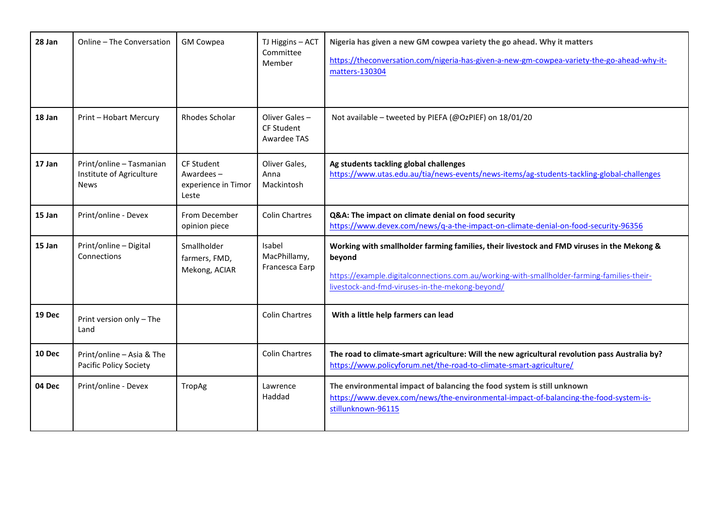| 28 Jan | Online - The Conversation                                           | <b>GM Cowpea</b>                                               | TJ Higgins - ACT<br>Committee<br>Member           | Nigeria has given a new GM cowpea variety the go ahead. Why it matters<br>https://theconversation.com/nigeria-has-given-a-new-gm-cowpea-variety-the-go-ahead-why-it-<br>matters-130304                                                                |
|--------|---------------------------------------------------------------------|----------------------------------------------------------------|---------------------------------------------------|-------------------------------------------------------------------------------------------------------------------------------------------------------------------------------------------------------------------------------------------------------|
| 18 Jan | Print - Hobart Mercury                                              | <b>Rhodes Scholar</b>                                          | Oliver Gales-<br><b>CF Student</b><br>Awardee TAS | Not available - tweeted by PIEFA (@OzPIEF) on 18/01/20                                                                                                                                                                                                |
| 17 Jan | Print/online - Tasmanian<br>Institute of Agriculture<br><b>News</b> | <b>CF Student</b><br>Awardees-<br>experience in Timor<br>Leste | Oliver Gales,<br>Anna<br>Mackintosh               | Ag students tackling global challenges<br>https://www.utas.edu.au/tia/news-events/news-items/ag-students-tackling-global-challenges                                                                                                                   |
| 15 Jan | Print/online - Devex                                                | From December<br>opinion piece                                 | <b>Colin Chartres</b>                             | Q&A: The impact on climate denial on food security<br>https://www.devex.com/news/q-a-the-impact-on-climate-denial-on-food-security-96356                                                                                                              |
| 15 Jan | Print/online - Digital<br>Connections                               | Smallholder<br>farmers, FMD,<br>Mekong, ACIAR                  | Isabel<br>MacPhillamy,<br>Francesca Earp          | Working with smallholder farming families, their livestock and FMD viruses in the Mekong &<br>beyond<br>https://example.digitalconnections.com.au/working-with-smallholder-farming-families-their-<br>livestock-and-fmd-viruses-in-the-mekong-beyond/ |
| 19 Dec | Print version only - The<br>Land                                    |                                                                | <b>Colin Chartres</b>                             | With a little help farmers can lead                                                                                                                                                                                                                   |
| 10 Dec | Print/online - Asia & The<br>Pacific Policy Society                 |                                                                | <b>Colin Chartres</b>                             | The road to climate-smart agriculture: Will the new agricultural revolution pass Australia by?<br>https://www.policyforum.net/the-road-to-climate-smart-agriculture/                                                                                  |
| 04 Dec | Print/online - Devex                                                | TropAg                                                         | Lawrence<br>Haddad                                | The environmental impact of balancing the food system is still unknown<br>https://www.devex.com/news/the-environmental-impact-of-balancing-the-food-system-is-<br>stillunknown-96115                                                                  |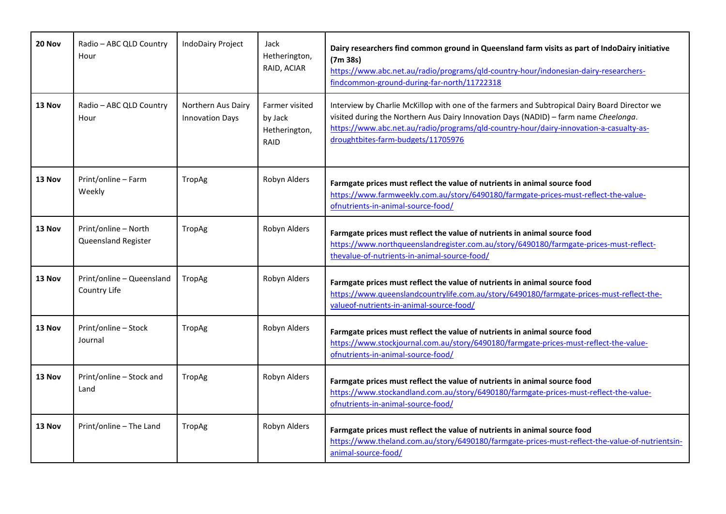| 20 Nov | Radio - ABC QLD Country<br>Hour             | <b>IndoDairy Project</b>                     | Jack<br>Hetherington,<br>RAID, ACIAR               | Dairy researchers find common ground in Queensland farm visits as part of IndoDairy initiative<br>(7m 38s)<br>https://www.abc.net.au/radio/programs/gld-country-hour/indonesian-dairy-researchers-<br>findcommon-ground-during-far-north/11722318                                                                     |
|--------|---------------------------------------------|----------------------------------------------|----------------------------------------------------|-----------------------------------------------------------------------------------------------------------------------------------------------------------------------------------------------------------------------------------------------------------------------------------------------------------------------|
| 13 Nov | Radio - ABC QLD Country<br>Hour             | Northern Aus Dairy<br><b>Innovation Days</b> | Farmer visited<br>by Jack<br>Hetherington,<br>RAID | Interview by Charlie McKillop with one of the farmers and Subtropical Dairy Board Director we<br>visited during the Northern Aus Dairy Innovation Days (NADID) - farm name Cheelonga.<br>https://www.abc.net.au/radio/programs/qld-country-hour/dairy-innovation-a-casualty-as-<br>droughtbites-farm-budgets/11705976 |
| 13 Nov | Print/online - Farm<br>Weekly               | TropAg                                       | Robyn Alders                                       | Farmgate prices must reflect the value of nutrients in animal source food<br>https://www.farmweekly.com.au/story/6490180/farmgate-prices-must-reflect-the-value-<br>ofnutrients-in-animal-source-food/                                                                                                                |
| 13 Nov | Print/online - North<br>Queensland Register | TropAg                                       | Robyn Alders                                       | Farmgate prices must reflect the value of nutrients in animal source food<br>https://www.northqueenslandregister.com.au/story/6490180/farmgate-prices-must-reflect-<br>thevalue-of-nutrients-in-animal-source-food/                                                                                                   |
| 13 Nov | Print/online - Queensland<br>Country Life   | TropAg                                       | Robyn Alders                                       | Farmgate prices must reflect the value of nutrients in animal source food<br>https://www.queenslandcountrylife.com.au/story/6490180/farmgate-prices-must-reflect-the-<br>valueof-nutrients-in-animal-source-food/                                                                                                     |
| 13 Nov | Print/online - Stock<br>Journal             | TropAg                                       | Robyn Alders                                       | Farmgate prices must reflect the value of nutrients in animal source food<br>https://www.stockjournal.com.au/story/6490180/farmgate-prices-must-reflect-the-value-<br>ofnutrients-in-animal-source-food/                                                                                                              |
| 13 Nov | Print/online - Stock and<br>Land            | TropAg                                       | Robyn Alders                                       | Farmgate prices must reflect the value of nutrients in animal source food<br>https://www.stockandland.com.au/story/6490180/farmgate-prices-must-reflect-the-value-<br>ofnutrients-in-animal-source-food/                                                                                                              |
| 13 Nov | Print/online - The Land                     | TropAg                                       | Robyn Alders                                       | Farmgate prices must reflect the value of nutrients in animal source food<br>https://www.theland.com.au/story/6490180/farmgate-prices-must-reflect-the-value-of-nutrientsin-<br>animal-source-food/                                                                                                                   |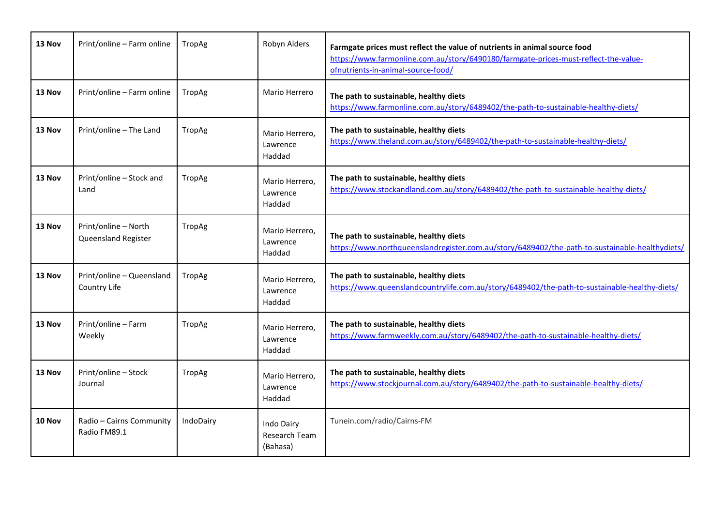| 13 Nov | Print/online - Farm online                  | TropAg    | Robyn Alders                            | Farmgate prices must reflect the value of nutrients in animal source food<br>https://www.farmonline.com.au/story/6490180/farmgate-prices-must-reflect-the-value-<br>ofnutrients-in-animal-source-food/ |
|--------|---------------------------------------------|-----------|-----------------------------------------|--------------------------------------------------------------------------------------------------------------------------------------------------------------------------------------------------------|
| 13 Nov | Print/online - Farm online                  | TropAg    | Mario Herrero                           | The path to sustainable, healthy diets<br>https://www.farmonline.com.au/story/6489402/the-path-to-sustainable-healthy-diets/                                                                           |
| 13 Nov | Print/online - The Land                     | TropAg    | Mario Herrero,<br>Lawrence<br>Haddad    | The path to sustainable, healthy diets<br>https://www.theland.com.au/story/6489402/the-path-to-sustainable-healthy-diets/                                                                              |
| 13 Nov | Print/online - Stock and<br>Land            | TropAg    | Mario Herrero.<br>Lawrence<br>Haddad    | The path to sustainable, healthy diets<br>https://www.stockandland.com.au/story/6489402/the-path-to-sustainable-healthy-diets/                                                                         |
| 13 Nov | Print/online - North<br>Queensland Register | TropAg    | Mario Herrero,<br>Lawrence<br>Haddad    | The path to sustainable, healthy diets<br>https://www.northqueenslandregister.com.au/story/6489402/the-path-to-sustainable-healthydiets/                                                               |
| 13 Nov | Print/online - Queensland<br>Country Life   | TropAg    | Mario Herrero.<br>Lawrence<br>Haddad    | The path to sustainable, healthy diets<br>https://www.queenslandcountrylife.com.au/story/6489402/the-path-to-sustainable-healthy-diets/                                                                |
| 13 Nov | Print/online - Farm<br>Weekly               | TropAg    | Mario Herrero,<br>Lawrence<br>Haddad    | The path to sustainable, healthy diets<br>https://www.farmweekly.com.au/story/6489402/the-path-to-sustainable-healthy-diets/                                                                           |
| 13 Nov | Print/online - Stock<br>Journal             | TropAg    | Mario Herrero,<br>Lawrence<br>Haddad    | The path to sustainable, healthy diets<br>https://www.stockjournal.com.au/story/6489402/the-path-to-sustainable-healthy-diets/                                                                         |
| 10 Nov | Radio - Cairns Community<br>Radio FM89.1    | IndoDairy | Indo Dairy<br>Research Team<br>(Bahasa) | Tunein.com/radio/Cairns-FM                                                                                                                                                                             |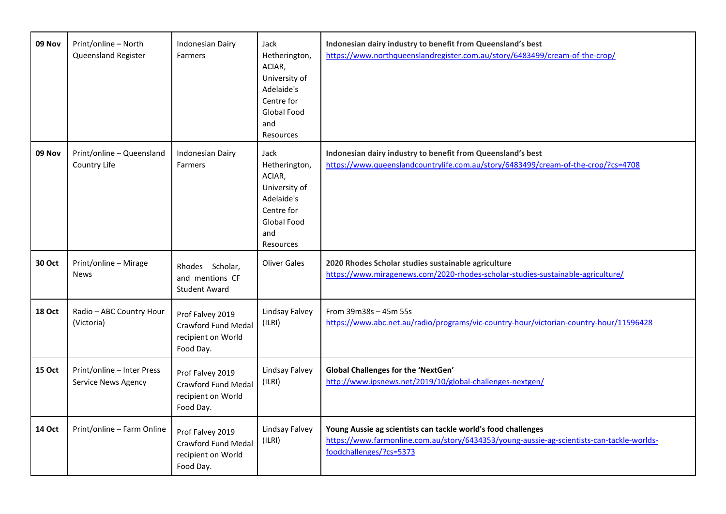| 09 Nov        | Print/online - North<br>Queensland Register              | Indonesian Dairy<br>Farmers                                                | Jack<br>Hetherington,<br>ACIAR,<br>University of<br>Adelaide's<br>Centre for<br>Global Food<br>and<br>Resources | Indonesian dairy industry to benefit from Queensland's best<br>https://www.northqueenslandregister.com.au/story/6483499/cream-of-the-crop/                                            |
|---------------|----------------------------------------------------------|----------------------------------------------------------------------------|-----------------------------------------------------------------------------------------------------------------|---------------------------------------------------------------------------------------------------------------------------------------------------------------------------------------|
| 09 Nov        | Print/online - Queensland<br>Country Life                | Indonesian Dairy<br><b>Farmers</b>                                         | Jack<br>Hetherington,<br>ACIAR,<br>University of<br>Adelaide's<br>Centre for<br>Global Food<br>and<br>Resources | Indonesian dairy industry to benefit from Queensland's best<br>https://www.queenslandcountrylife.com.au/story/6483499/cream-of-the-crop/?cs=4708                                      |
| 30 Oct        | Print/online - Mirage<br><b>News</b>                     | Rhodes Scholar,<br>and mentions CF<br><b>Student Award</b>                 | <b>Oliver Gales</b>                                                                                             | 2020 Rhodes Scholar studies sustainable agriculture<br>https://www.miragenews.com/2020-rhodes-scholar-studies-sustainable-agriculture/                                                |
| 18 Oct        | Radio - ABC Country Hour<br>(Victoria)                   | Prof Falvey 2019<br>Crawford Fund Medal<br>recipient on World<br>Food Day. | Lindsay Falvey<br>(ILRI)                                                                                        | From 39m38s - 45m 55s<br>https://www.abc.net.au/radio/programs/vic-country-hour/victorian-country-hour/11596428                                                                       |
| <b>15 Oct</b> | Print/online - Inter Press<br><b>Service News Agency</b> | Prof Falvey 2019<br>Crawford Fund Medal<br>recipient on World<br>Food Day. | Lindsay Falvey<br>(ILRI)                                                                                        | <b>Global Challenges for the 'NextGen'</b><br>http://www.ipsnews.net/2019/10/global-challenges-nextgen/                                                                               |
| 14 Oct        | Print/online - Farm Online                               | Prof Falvey 2019<br>Crawford Fund Medal<br>recipient on World<br>Food Day. | Lindsay Falvey<br>(ILRI)                                                                                        | Young Aussie ag scientists can tackle world's food challenges<br>https://www.farmonline.com.au/story/6434353/young-aussie-ag-scientists-can-tackle-worlds-<br>foodchallenges/?cs=5373 |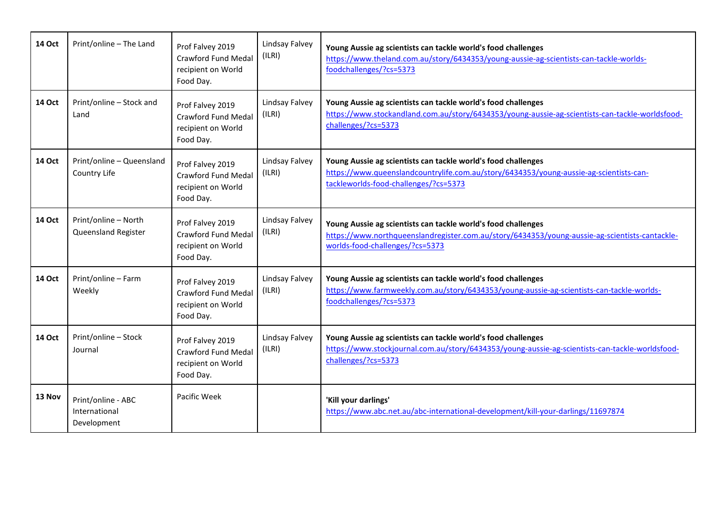| 14 Oct        | Print/online - The Land                            | Prof Falvey 2019<br>Crawford Fund Medal<br>recipient on World<br>Food Day.        | Lindsay Falvey<br>(ILRI) | Young Aussie ag scientists can tackle world's food challenges<br>https://www.theland.com.au/story/6434353/young-aussie-ag-scientists-can-tackle-worlds-<br>foodchallenges/?cs=5373                 |
|---------------|----------------------------------------------------|-----------------------------------------------------------------------------------|--------------------------|----------------------------------------------------------------------------------------------------------------------------------------------------------------------------------------------------|
| 14 Oct        | Print/online - Stock and<br>Land                   | Prof Falvey 2019<br><b>Crawford Fund Medal</b><br>recipient on World<br>Food Day. | Lindsay Falvey<br>(ILRI) | Young Aussie ag scientists can tackle world's food challenges<br>https://www.stockandland.com.au/story/6434353/young-aussie-ag-scientists-can-tackle-worldsfood-<br>challenges/?cs=5373            |
| 14 Oct        | Print/online - Queensland<br>Country Life          | Prof Falvey 2019<br>Crawford Fund Medal<br>recipient on World<br>Food Day.        | Lindsay Falvey<br>(ILRI) | Young Aussie ag scientists can tackle world's food challenges<br>https://www.queenslandcountrylife.com.au/story/6434353/young-aussie-ag-scientists-can-<br>tackleworlds-food-challenges/?cs=5373   |
| <b>14 Oct</b> | Print/online - North<br>Queensland Register        | Prof Falvey 2019<br><b>Crawford Fund Medal</b><br>recipient on World<br>Food Day. | Lindsay Falvey<br>(ILRI) | Young Aussie ag scientists can tackle world's food challenges<br>https://www.northqueenslandregister.com.au/story/6434353/young-aussie-ag-scientists-cantackle-<br>worlds-food-challenges/?cs=5373 |
| <b>14 Oct</b> | Print/online - Farm<br>Weekly                      | Prof Falvey 2019<br>Crawford Fund Medal<br>recipient on World<br>Food Day.        | Lindsay Falvey<br>(ILRI) | Young Aussie ag scientists can tackle world's food challenges<br>https://www.farmweekly.com.au/story/6434353/young-aussie-ag-scientists-can-tackle-worlds-<br>foodchallenges/?cs=5373              |
| <b>14 Oct</b> | Print/online - Stock<br>Journal                    | Prof Falvey 2019<br><b>Crawford Fund Medal</b><br>recipient on World<br>Food Day. | Lindsay Falvey<br>(ILRI) | Young Aussie ag scientists can tackle world's food challenges<br>https://www.stockjournal.com.au/story/6434353/young-aussie-ag-scientists-can-tackle-worldsfood-<br>challenges/?cs=5373            |
| 13 Nov        | Print/online - ABC<br>International<br>Development | Pacific Week                                                                      |                          | 'Kill your darlings'<br>https://www.abc.net.au/abc-international-development/kill-your-darlings/11697874                                                                                           |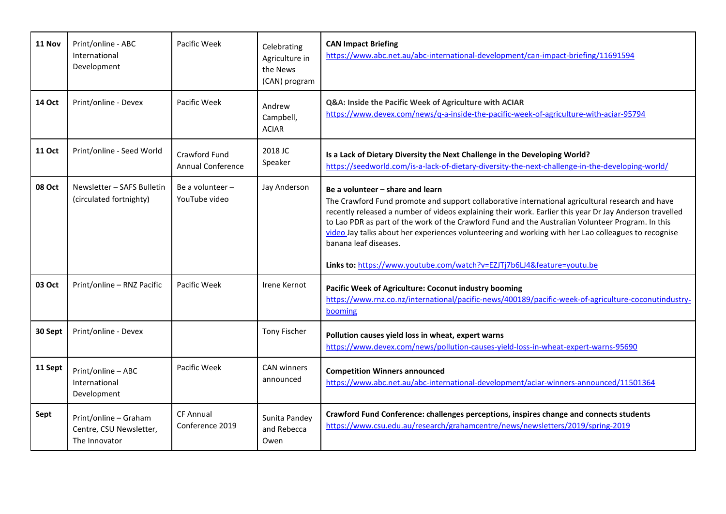| 11 Nov        | Print/online - ABC<br>International<br>Development                | Pacific Week                              | Celebrating<br>Agriculture in<br>the News<br>(CAN) program | <b>CAN Impact Briefing</b><br>https://www.abc.net.au/abc-international-development/can-impact-briefing/11691594                                                                                                                                                                                                                                                                                                                                                                                                                                                |
|---------------|-------------------------------------------------------------------|-------------------------------------------|------------------------------------------------------------|----------------------------------------------------------------------------------------------------------------------------------------------------------------------------------------------------------------------------------------------------------------------------------------------------------------------------------------------------------------------------------------------------------------------------------------------------------------------------------------------------------------------------------------------------------------|
| <b>14 Oct</b> | Print/online - Devex                                              | Pacific Week                              | Andrew<br>Campbell,<br><b>ACIAR</b>                        | Q&A: Inside the Pacific Week of Agriculture with ACIAR<br>https://www.devex.com/news/q-a-inside-the-pacific-week-of-agriculture-with-aciar-95794                                                                                                                                                                                                                                                                                                                                                                                                               |
| <b>11 Oct</b> | Print/online - Seed World                                         | Crawford Fund<br><b>Annual Conference</b> | 2018 JC<br>Speaker                                         | Is a Lack of Dietary Diversity the Next Challenge in the Developing World?<br>https://seedworld.com/is-a-lack-of-dietary-diversity-the-next-challenge-in-the-developing-world/                                                                                                                                                                                                                                                                                                                                                                                 |
| <b>08 Oct</b> | Newsletter - SAFS Bulletin<br>(circulated fortnighty)             | Be a volunteer $-$<br>YouTube video       | Jay Anderson                                               | Be a volunteer - share and learn<br>The Crawford Fund promote and support collaborative international agricultural research and have<br>recently released a number of videos explaining their work. Earlier this year Dr Jay Anderson travelled<br>to Lao PDR as part of the work of the Crawford Fund and the Australian Volunteer Program. In this<br>video Jay talks about her experiences volunteering and working with her Lao colleagues to recognise<br>banana leaf diseases.<br>Links to: https://www.youtube.com/watch?v=EZJTj7b6LJ4&feature=youtu.be |
| 03 Oct        | Print/online - RNZ Pacific                                        | Pacific Week                              | Irene Kernot                                               | Pacific Week of Agriculture: Coconut industry booming<br>https://www.rnz.co.nz/international/pacific-news/400189/pacific-week-of-agriculture-coconutindustry-<br>booming                                                                                                                                                                                                                                                                                                                                                                                       |
| 30 Sept       | Print/online - Devex                                              |                                           | <b>Tony Fischer</b>                                        | Pollution causes yield loss in wheat, expert warns<br>https://www.devex.com/news/pollution-causes-yield-loss-in-wheat-expert-warns-95690                                                                                                                                                                                                                                                                                                                                                                                                                       |
| 11 Sept       | Print/online - ABC<br>International<br>Development                | Pacific Week                              | <b>CAN winners</b><br>announced                            | <b>Competition Winners announced</b><br>https://www.abc.net.au/abc-international-development/aciar-winners-announced/11501364                                                                                                                                                                                                                                                                                                                                                                                                                                  |
| Sept          | Print/online - Graham<br>Centre, CSU Newsletter,<br>The Innovator | <b>CF Annual</b><br>Conference 2019       | Sunita Pandey<br>and Rebecca<br>Owen                       | Crawford Fund Conference: challenges perceptions, inspires change and connects students<br>https://www.csu.edu.au/research/grahamcentre/news/newsletters/2019/spring-2019                                                                                                                                                                                                                                                                                                                                                                                      |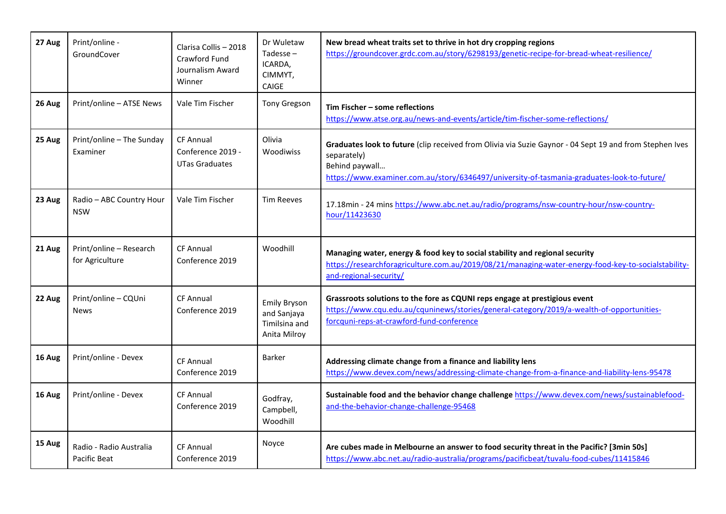| 27 Aug | Print/online -<br>GroundCover              | Clarisa Collis - 2018<br>Crawford Fund<br>Journalism Award<br>Winner | Dr Wuletaw<br>Tadesse-<br>ICARDA,<br>CIMMYT,<br>CAIGE               | New bread wheat traits set to thrive in hot dry cropping regions<br>https://groundcover.grdc.com.au/story/6298193/genetic-recipe-for-bread-wheat-resilience/                                                                           |
|--------|--------------------------------------------|----------------------------------------------------------------------|---------------------------------------------------------------------|----------------------------------------------------------------------------------------------------------------------------------------------------------------------------------------------------------------------------------------|
| 26 Aug | Print/online - ATSE News                   | Vale Tim Fischer                                                     | <b>Tony Gregson</b>                                                 | Tim Fischer - some reflections<br>https://www.atse.org.au/news-and-events/article/tim-fischer-some-reflections/                                                                                                                        |
| 25 Aug | Print/online - The Sunday<br>Examiner      | <b>CF Annual</b><br>Conference 2019 -<br><b>UTas Graduates</b>       | Olivia<br><b>Woodiwiss</b>                                          | Graduates look to future (clip received from Olivia via Suzie Gaynor - 04 Sept 19 and from Stephen Ives<br>separately)<br>Behind paywall<br>https://www.examiner.com.au/story/6346497/university-of-tasmania-graduates-look-to-future/ |
| 23 Aug | Radio - ABC Country Hour<br><b>NSW</b>     | Vale Tim Fischer                                                     | <b>Tim Reeves</b>                                                   | 17.18min - 24 mins https://www.abc.net.au/radio/programs/nsw-country-hour/nsw-country-<br>hour/11423630                                                                                                                                |
| 21 Aug | Print/online - Research<br>for Agriculture | <b>CF Annual</b><br>Conference 2019                                  | Woodhill                                                            | Managing water, energy & food key to social stability and regional security<br>https://researchforagriculture.com.au/2019/08/21/managing-water-energy-food-key-to-socialstability-<br>and-regional-security/                           |
| 22 Aug | Print/online - CQUni<br><b>News</b>        | <b>CF Annual</b><br>Conference 2019                                  | <b>Emily Bryson</b><br>and Sanjaya<br>Timilsina and<br>Anita Milroy | Grassroots solutions to the fore as CQUNI reps engage at prestigious event<br>https://www.cqu.edu.au/cquninews/stories/general-category/2019/a-wealth-of-opportunities-<br>forcquni-reps-at-crawford-fund-conference                   |
| 16 Aug | Print/online - Devex                       | <b>CF Annual</b><br>Conference 2019                                  | Barker                                                              | Addressing climate change from a finance and liability lens<br>https://www.devex.com/news/addressing-climate-change-from-a-finance-and-liability-lens-95478                                                                            |
| 16 Aug | Print/online - Devex                       | <b>CF Annual</b><br>Conference 2019                                  | Godfray,<br>Campbell,<br>Woodhill                                   | Sustainable food and the behavior change challenge https://www.devex.com/news/sustainablefood-<br>and-the-behavior-change-challenge-95468                                                                                              |
| 15 Aug | Radio - Radio Australia<br>Pacific Beat    | <b>CF Annual</b><br>Conference 2019                                  | Noyce                                                               | Are cubes made in Melbourne an answer to food security threat in the Pacific? [3min 50s]<br>https://www.abc.net.au/radio-australia/programs/pacificbeat/tuvalu-food-cubes/11415846                                                     |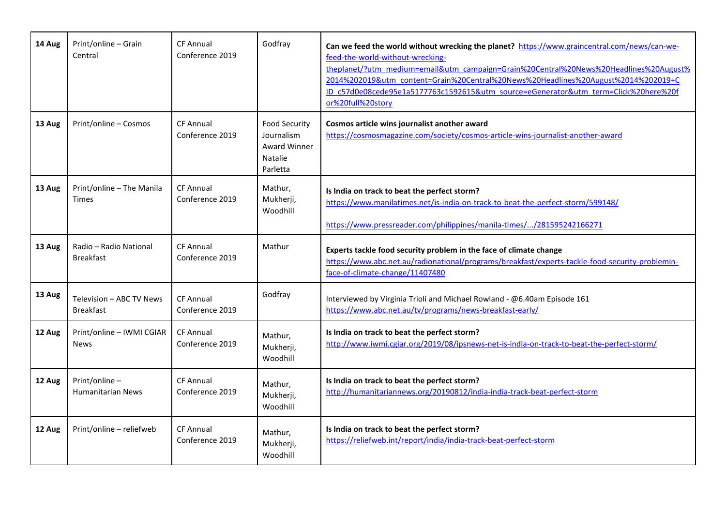| 14 Aug | Print/online - Grain<br>Central              | <b>CF Annual</b><br>Conference 2019 | Godfray                                                                                 | Can we feed the world without wrecking the planet? https://www.graincentral.com/news/can-we-<br>feed-the-world-without-wrecking-<br>theplanet/?utm_medium=email&utm_campaign=Grain%20Central%20News%20Headlines%20August%<br>2014%202019&utm_content=Grain%20Central%20News%20Headlines%20August%2014%202019+C<br>ID c57d0e08cede95e1a5177763c1592615&utm source=eGenerator&utm term=Click%20here%20f<br>or%20full%20story |
|--------|----------------------------------------------|-------------------------------------|-----------------------------------------------------------------------------------------|----------------------------------------------------------------------------------------------------------------------------------------------------------------------------------------------------------------------------------------------------------------------------------------------------------------------------------------------------------------------------------------------------------------------------|
| 13 Aug | Print/online - Cosmos                        | <b>CF Annual</b><br>Conference 2019 | <b>Food Security</b><br>Journalism<br><b>Award Winner</b><br><b>Natalie</b><br>Parletta | Cosmos article wins journalist another award<br>https://cosmosmagazine.com/society/cosmos-article-wins-journalist-another-award                                                                                                                                                                                                                                                                                            |
| 13 Aug | Print/online - The Manila<br>Times           | <b>CF Annual</b><br>Conference 2019 | Mathur,<br>Mukherji,<br>Woodhill                                                        | Is India on track to beat the perfect storm?<br>https://www.manilatimes.net/is-india-on-track-to-beat-the-perfect-storm/599148/<br>https://www.pressreader.com/philippines/manila-times//281595242166271                                                                                                                                                                                                                   |
| 13 Aug | Radio - Radio National<br><b>Breakfast</b>   | <b>CF Annual</b><br>Conference 2019 | Mathur                                                                                  | Experts tackle food security problem in the face of climate change<br>https://www.abc.net.au/radionational/programs/breakfast/experts-tackle-food-security-problemin-<br>face-of-climate-change/11407480                                                                                                                                                                                                                   |
| 13 Aug | Television - ABC TV News<br><b>Breakfast</b> | <b>CF Annual</b><br>Conference 2019 | Godfray                                                                                 | Interviewed by Virginia Trioli and Michael Rowland - @6.40am Episode 161<br>https://www.abc.net.au/tv/programs/news-breakfast-early/                                                                                                                                                                                                                                                                                       |
| 12 Aug | Print/online - IWMI CGIAR<br><b>News</b>     | <b>CF Annual</b><br>Conference 2019 | Mathur,<br>Mukherji,<br>Woodhill                                                        | Is India on track to beat the perfect storm?<br>http://www.iwmi.cgiar.org/2019/08/ipsnews-net-is-india-on-track-to-beat-the-perfect-storm/                                                                                                                                                                                                                                                                                 |
| 12 Aug | Print/online-<br><b>Humanitarian News</b>    | <b>CF Annual</b><br>Conference 2019 | Mathur,<br>Mukherji,<br>Woodhill                                                        | Is India on track to beat the perfect storm?<br>http://humanitariannews.org/20190812/india-india-track-beat-perfect-storm                                                                                                                                                                                                                                                                                                  |
| 12 Aug | Print/online - reliefweb                     | <b>CF Annual</b><br>Conference 2019 | Mathur,<br>Mukherji,<br>Woodhill                                                        | Is India on track to beat the perfect storm?<br>https://reliefweb.int/report/india/india-track-beat-perfect-storm                                                                                                                                                                                                                                                                                                          |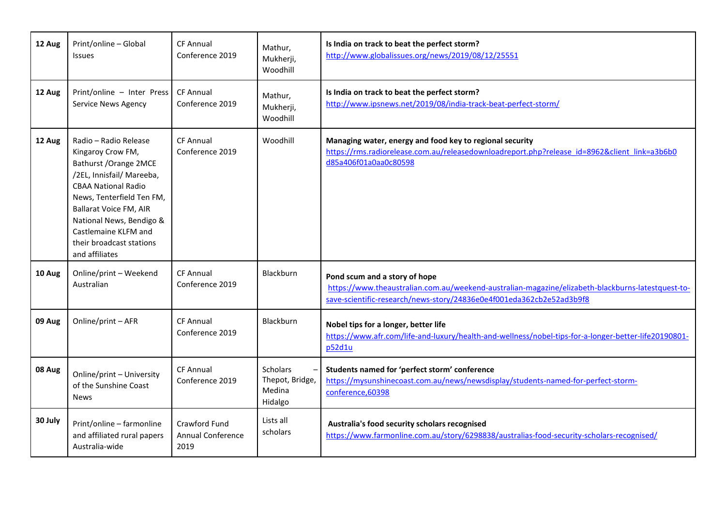| 12 Aug  | Print/online - Global<br><b>Issues</b>                                                                                                                                                                                                                                                   | <b>CF Annual</b><br>Conference 2019        | Mathur,<br>Mukherji,<br>Woodhill                        | Is India on track to beat the perfect storm?<br>http://www.globalissues.org/news/2019/08/12/25551                                                                                                          |
|---------|------------------------------------------------------------------------------------------------------------------------------------------------------------------------------------------------------------------------------------------------------------------------------------------|--------------------------------------------|---------------------------------------------------------|------------------------------------------------------------------------------------------------------------------------------------------------------------------------------------------------------------|
| 12 Aug  | Print/online - Inter Press<br><b>Service News Agency</b>                                                                                                                                                                                                                                 | CF Annual<br>Conference 2019               | Mathur,<br>Mukherji,<br>Woodhill                        | Is India on track to beat the perfect storm?<br>http://www.ipsnews.net/2019/08/india-track-beat-perfect-storm/                                                                                             |
| 12 Aug  | Radio - Radio Release<br>Kingaroy Crow FM,<br>Bathurst / Orange 2MCE<br>/2EL, Innisfail/ Mareeba,<br><b>CBAA National Radio</b><br>News, Tenterfield Ten FM,<br>Ballarat Voice FM, AIR<br>National News, Bendigo &<br>Castlemaine KLFM and<br>their broadcast stations<br>and affiliates | CF Annual<br>Conference 2019               | Woodhill                                                | Managing water, energy and food key to regional security<br>https://rms.radiorelease.com.au/releasedownloadreport.php?release_id=8962&client_link=a3b6b0<br>d85a406f01a0aa0c80598                          |
| 10 Aug  | Online/print - Weekend<br>Australian                                                                                                                                                                                                                                                     | CF Annual<br>Conference 2019               | Blackburn                                               | Pond scum and a story of hope<br>https://www.theaustralian.com.au/weekend-australian-magazine/elizabeth-blackburns-latestquest-to-<br>save-scientific-research/news-story/24836e0e4f001eda362cb2e52ad3b9f8 |
| 09 Aug  | Online/print - AFR                                                                                                                                                                                                                                                                       | <b>CF Annual</b><br>Conference 2019        | Blackburn                                               | Nobel tips for a longer, better life<br>https://www.afr.com/life-and-luxury/health-and-wellness/nobel-tips-for-a-longer-better-life20190801-<br>p52d1u                                                     |
| 08 Aug  | Online/print - University<br>of the Sunshine Coast<br><b>News</b>                                                                                                                                                                                                                        | <b>CF Annual</b><br>Conference 2019        | <b>Scholars</b><br>Thepot, Bridge,<br>Medina<br>Hidalgo | Students named for 'perfect storm' conference<br>https://mysunshinecoast.com.au/news/newsdisplay/students-named-for-perfect-storm-<br>conference, 60398                                                    |
| 30 July | Print/online - farmonline<br>and affiliated rural papers<br>Australia-wide                                                                                                                                                                                                               | Crawford Fund<br>Annual Conference<br>2019 | Lists all<br>scholars                                   | Australia's food security scholars recognised<br>https://www.farmonline.com.au/story/6298838/australias-food-security-scholars-recognised/                                                                 |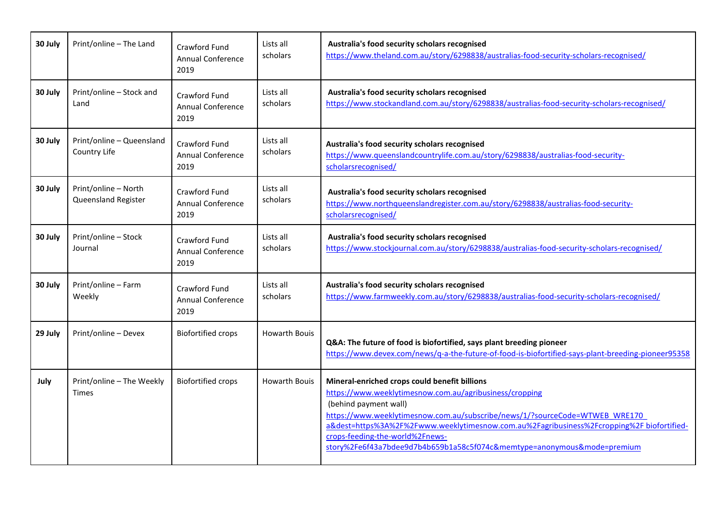| 30 July | Print/online - The Land                     | Crawford Fund<br>Annual Conference<br>2019        | Lists all<br>scholars | Australia's food security scholars recognised<br>https://www.theland.com.au/story/6298838/australias-food-security-scholars-recognised/                                                                                                                                                                                                                                                                                     |
|---------|---------------------------------------------|---------------------------------------------------|-----------------------|-----------------------------------------------------------------------------------------------------------------------------------------------------------------------------------------------------------------------------------------------------------------------------------------------------------------------------------------------------------------------------------------------------------------------------|
| 30 July | Print/online - Stock and<br>Land            | Crawford Fund<br>Annual Conference<br>2019        | Lists all<br>scholars | Australia's food security scholars recognised<br>https://www.stockandland.com.au/story/6298838/australias-food-security-scholars-recognised/                                                                                                                                                                                                                                                                                |
| 30 July | Print/online - Queensland<br>Country Life   | Crawford Fund<br><b>Annual Conference</b><br>2019 | Lists all<br>scholars | Australia's food security scholars recognised<br>https://www.queenslandcountrylife.com.au/story/6298838/australias-food-security-<br>scholarsrecognised/                                                                                                                                                                                                                                                                    |
| 30 July | Print/online - North<br>Queensland Register | Crawford Fund<br><b>Annual Conference</b><br>2019 | Lists all<br>scholars | Australia's food security scholars recognised<br>https://www.northqueenslandregister.com.au/story/6298838/australias-food-security-<br>scholarsrecognised/                                                                                                                                                                                                                                                                  |
| 30 July | Print/online - Stock<br>Journal             | Crawford Fund<br><b>Annual Conference</b><br>2019 | Lists all<br>scholars | Australia's food security scholars recognised<br>https://www.stockjournal.com.au/story/6298838/australias-food-security-scholars-recognised/                                                                                                                                                                                                                                                                                |
| 30 July | Print/online - Farm<br>Weekly               | Crawford Fund<br>Annual Conference<br>2019        | Lists all<br>scholars | Australia's food security scholars recognised<br>https://www.farmweekly.com.au/story/6298838/australias-food-security-scholars-recognised/                                                                                                                                                                                                                                                                                  |
| 29 July | Print/online - Devex                        | <b>Biofortified crops</b>                         | <b>Howarth Bouis</b>  | Q&A: The future of food is biofortified, says plant breeding pioneer<br>https://www.devex.com/news/q-a-the-future-of-food-is-biofortified-says-plant-breeding-pioneer95358                                                                                                                                                                                                                                                  |
| July    | Print/online - The Weekly<br><b>Times</b>   | <b>Biofortified crops</b>                         | <b>Howarth Bouis</b>  | Mineral-enriched crops could benefit billions<br>https://www.weeklytimesnow.com.au/agribusiness/cropping<br>(behind payment wall)<br>https://www.weeklytimesnow.com.au/subscribe/news/1/?sourceCode=WTWEB WRE170<br>a&dest=https%3A%2F%2Fwww.weeklytimesnow.com.au%2Fagribusiness%2Fcropping%2F biofortified-<br>crops-feeding-the-world%2Fnews-<br>story%2Fe6f43a7bdee9d7b4b659b1a58c5f074c&memtype=anonymous&mode=premium |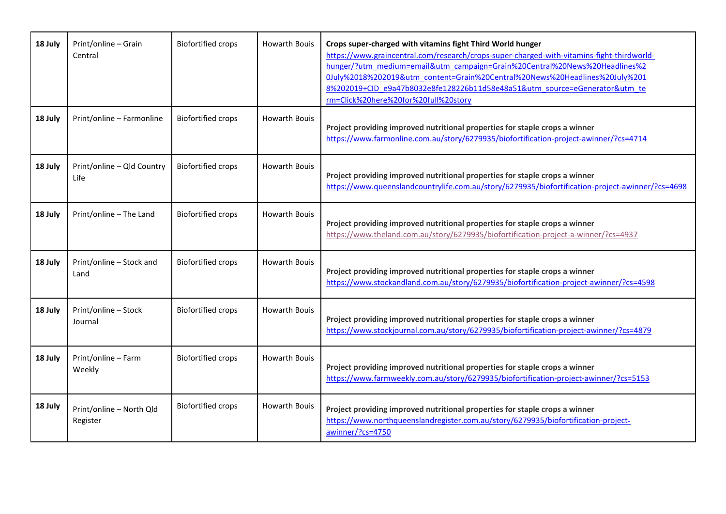| 18 July | Print/online - Grain<br>Central      | <b>Biofortified crops</b> | <b>Howarth Bouis</b> | Crops super-charged with vitamins fight Third World hunger<br>https://www.graincentral.com/research/crops-super-charged-with-vitamins-fight-thirdworld-<br>hunger/?utm_medium=email&utm_campaign=Grain%20Central%20News%20Headlines%2<br>0July%2018%202019&utm_content=Grain%20Central%20News%20Headlines%20July%201<br>8%202019+CID e9a47b8032e8fe128226b11d58e48a51&utm source=eGenerator&utm te<br>rm=Click%20here%20for%20full%20story |
|---------|--------------------------------------|---------------------------|----------------------|--------------------------------------------------------------------------------------------------------------------------------------------------------------------------------------------------------------------------------------------------------------------------------------------------------------------------------------------------------------------------------------------------------------------------------------------|
| 18 July | Print/online - Farmonline            | <b>Biofortified crops</b> | <b>Howarth Bouis</b> | Project providing improved nutritional properties for staple crops a winner<br>https://www.farmonline.com.au/story/6279935/biofortification-project-awinner/?cs=4714                                                                                                                                                                                                                                                                       |
| 18 July | Print/online - Qld Country<br>Life   | <b>Biofortified crops</b> | <b>Howarth Bouis</b> | Project providing improved nutritional properties for staple crops a winner<br>https://www.queenslandcountrylife.com.au/story/6279935/biofortification-project-awinner/?cs=4698                                                                                                                                                                                                                                                            |
| 18 July | Print/online - The Land              | <b>Biofortified crops</b> | <b>Howarth Bouis</b> | Project providing improved nutritional properties for staple crops a winner<br>https://www.theland.com.au/story/6279935/biofortification-project-a-winner/?cs=4937                                                                                                                                                                                                                                                                         |
| 18 July | Print/online - Stock and<br>Land     | <b>Biofortified crops</b> | Howarth Bouis        | Project providing improved nutritional properties for staple crops a winner<br>https://www.stockandland.com.au/story/6279935/biofortification-project-awinner/?cs=4598                                                                                                                                                                                                                                                                     |
| 18 July | Print/online - Stock<br>Journal      | <b>Biofortified crops</b> | <b>Howarth Bouis</b> | Project providing improved nutritional properties for staple crops a winner<br>https://www.stockjournal.com.au/story/6279935/biofortification-project-awinner/?cs=4879                                                                                                                                                                                                                                                                     |
| 18 July | Print/online - Farm<br>Weekly        | <b>Biofortified crops</b> | <b>Howarth Bouis</b> | Project providing improved nutritional properties for staple crops a winner<br>https://www.farmweekly.com.au/story/6279935/biofortification-project-awinner/?cs=5153                                                                                                                                                                                                                                                                       |
| 18 July | Print/online - North Qld<br>Register | <b>Biofortified crops</b> | <b>Howarth Bouis</b> | Project providing improved nutritional properties for staple crops a winner<br>https://www.northqueenslandregister.com.au/story/6279935/biofortification-project-<br>awinner/?cs=4750                                                                                                                                                                                                                                                      |